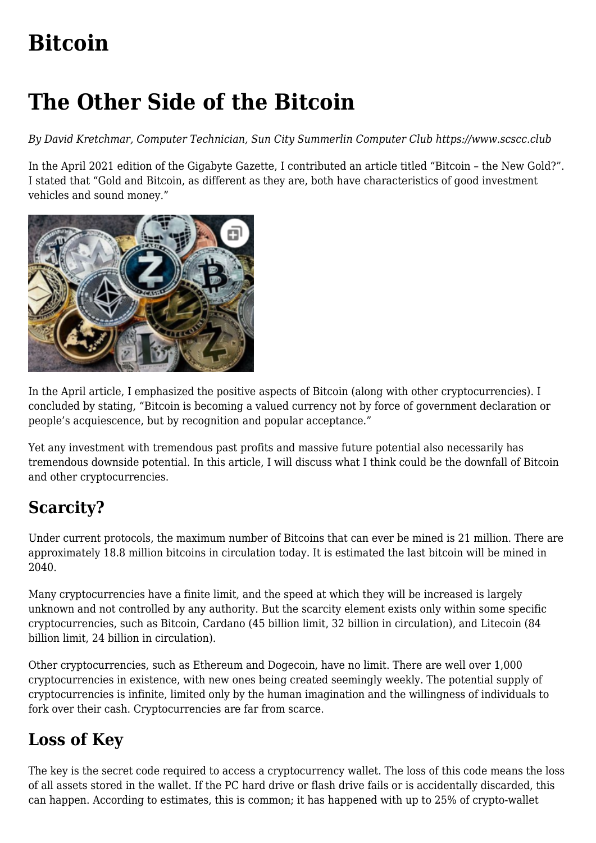# **[Bitcoin](https://www.melbpc.org.au/bitcoin/)**

## **The Other Side of the Bitcoin**

*By David Kretchmar, Computer Technician, Sun City Summerlin Computer Club https://www.scscc.club*

In the April 2021 edition of the Gigabyte Gazette, I contributed an article titled "Bitcoin – the New Gold?". I stated that "Gold and Bitcoin, as different as they are, both have characteristics of good investment vehicles and sound money."



In the April article, I emphasized the positive aspects of Bitcoin (along with other cryptocurrencies). I concluded by stating, "Bitcoin is becoming a valued currency not by force of government declaration or people's acquiescence, but by recognition and popular acceptance."

Yet any investment with tremendous past profits and massive future potential also necessarily has tremendous downside potential. In this article, I will discuss what I think could be the downfall of Bitcoin and other cryptocurrencies.

## **Scarcity?**

Under current protocols, the maximum number of Bitcoins that can ever be mined is 21 million. There are approximately 18.8 million bitcoins in circulation today. It is estimated the last bitcoin will be mined in 2040.

Many cryptocurrencies have a finite limit, and the speed at which they will be increased is largely unknown and not controlled by any authority. But the scarcity element exists only within some specific cryptocurrencies, such as Bitcoin, Cardano (45 billion limit, 32 billion in circulation), and Litecoin (84 billion limit, 24 billion in circulation).

Other cryptocurrencies, such as Ethereum and Dogecoin, have no limit. There are well over 1,000 cryptocurrencies in existence, with new ones being created seemingly weekly. The potential supply of cryptocurrencies is infinite, limited only by the human imagination and the willingness of individuals to fork over their cash. Cryptocurrencies are far from scarce.

## **Loss of Key**

The key is the secret code required to access a cryptocurrency wallet. The loss of this code means the loss of all assets stored in the wallet. If the PC hard drive or flash drive fails or is accidentally discarded, this can happen. According to estimates, this is common; it has happened with up to 25% of crypto-wallet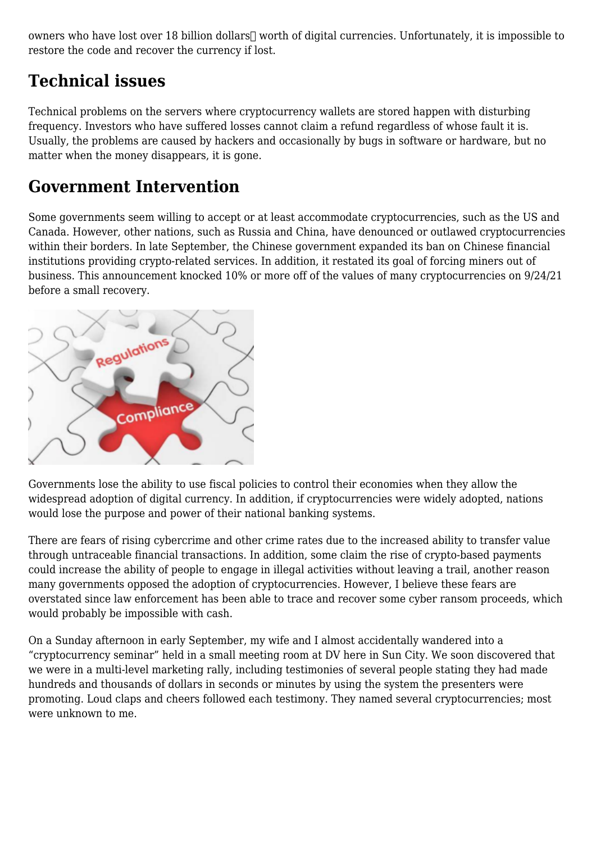owners who have lost over 18 billion dollars<sup>[]</sup> worth of digital currencies. Unfortunately, it is impossible to restore the code and recover the currency if lost.

#### **Technical issues**

Technical problems on the servers where cryptocurrency wallets are stored happen with disturbing frequency. Investors who have suffered losses cannot claim a refund regardless of whose fault it is. Usually, the problems are caused by hackers and occasionally by bugs in software or hardware, but no matter when the money disappears, it is gone.

#### **Government Intervention**

Some governments seem willing to accept or at least accommodate cryptocurrencies, such as the US and Canada. However, other nations, such as Russia and China, have denounced or outlawed cryptocurrencies within their borders. In late September, the Chinese government expanded its ban on Chinese financial institutions providing crypto-related services. In addition, it restated its goal of forcing miners out of business. This announcement knocked 10% or more off of the values of many cryptocurrencies on 9/24/21 before a small recovery.



Governments lose the ability to use fiscal policies to control their economies when they allow the widespread adoption of digital currency. In addition, if cryptocurrencies were widely adopted, nations would lose the purpose and power of their national banking systems.

There are fears of rising cybercrime and other crime rates due to the increased ability to transfer value through untraceable financial transactions. In addition, some claim the rise of crypto-based payments could increase the ability of people to engage in illegal activities without leaving a trail, another reason many governments opposed the adoption of cryptocurrencies. However, I believe these fears are overstated since law enforcement has been able to trace and recover some cyber ransom proceeds, which would probably be impossible with cash.

On a Sunday afternoon in early September, my wife and I almost accidentally wandered into a "cryptocurrency seminar" held in a small meeting room at DV here in Sun City. We soon discovered that we were in a multi-level marketing rally, including testimonies of several people stating they had made hundreds and thousands of dollars in seconds or minutes by using the system the presenters were promoting. Loud claps and cheers followed each testimony. They named several cryptocurrencies; most were unknown to me.